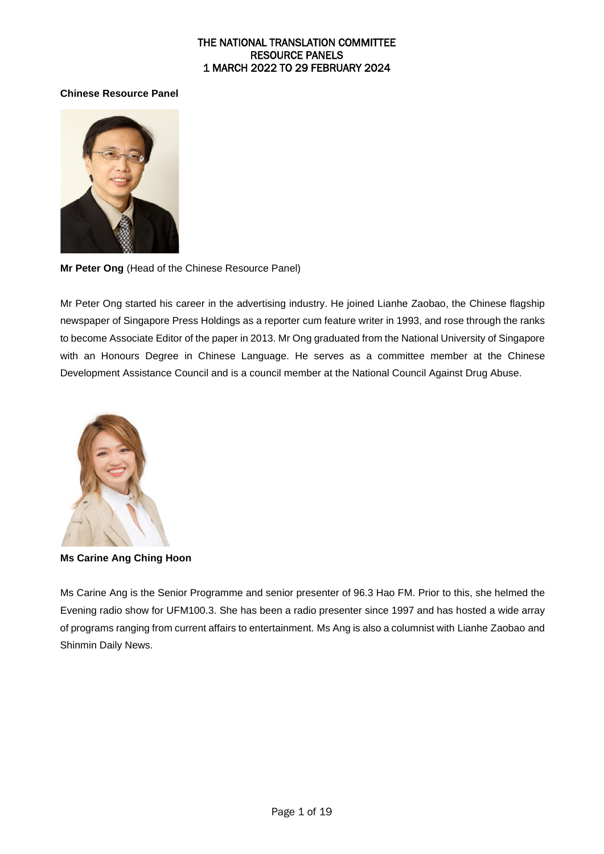#### **Chinese Resource Panel**



**Mr Peter Ong** (Head of the Chinese Resource Panel)

Mr Peter Ong started his career in the advertising industry. He joined Lianhe Zaobao, the Chinese flagship newspaper of Singapore Press Holdings as a reporter cum feature writer in 1993, and rose through the ranks to become Associate Editor of the paper in 2013. Mr Ong graduated from the National University of Singapore with an Honours Degree in Chinese Language. He serves as a committee member at the Chinese Development Assistance Council and is a council member at the National Council Against Drug Abuse.



**Ms Carine Ang Ching Hoon**

Ms Carine Ang is the Senior Programme and senior presenter of 96.3 Hao FM. Prior to this, she helmed the Evening radio show for UFM100.3. She has been a radio presenter since 1997 and has hosted a wide array of programs ranging from current affairs to entertainment. Ms Ang is also a columnist with Lianhe Zaobao and Shinmin Daily News.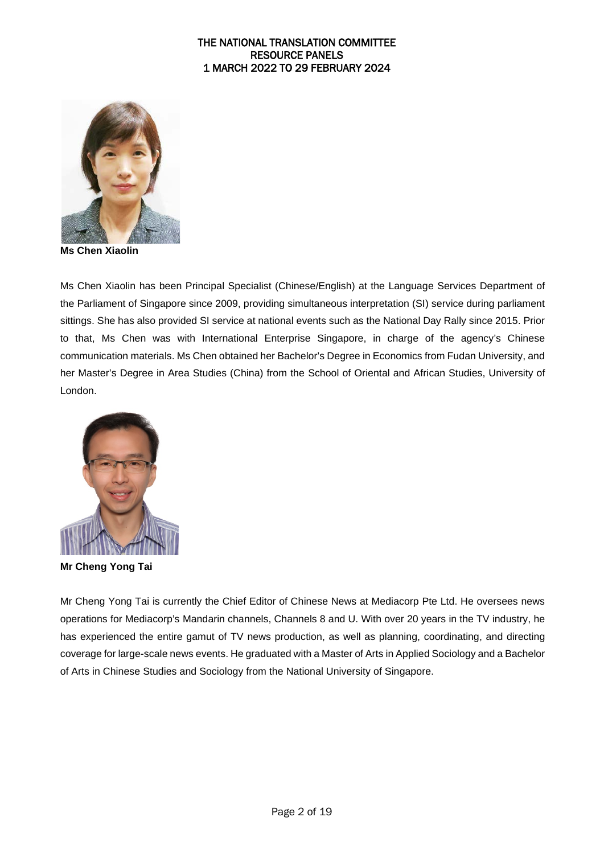

**Ms Chen Xiaolin** 

Ms Chen Xiaolin has been Principal Specialist (Chinese/English) at the Language Services Department of the Parliament of Singapore since 2009, providing simultaneous interpretation (SI) service during parliament sittings. She has also provided SI service at national events such as the National Day Rally since 2015. Prior to that, Ms Chen was with International Enterprise Singapore, in charge of the agency's Chinese communication materials. Ms Chen obtained her Bachelor's Degree in Economics from Fudan University, and her Master's Degree in Area Studies (China) from the School of Oriental and African Studies, University of London.



**Mr Cheng Yong Tai** 

Mr Cheng Yong Tai is currently the Chief Editor of Chinese News at Mediacorp Pte Ltd. He oversees news operations for Mediacorp's Mandarin channels, Channels 8 and U. With over 20 years in the TV industry, he has experienced the entire gamut of TV news production, as well as planning, coordinating, and directing coverage for large-scale news events. He graduated with a Master of Arts in Applied Sociology and a Bachelor of Arts in Chinese Studies and Sociology from the National University of Singapore.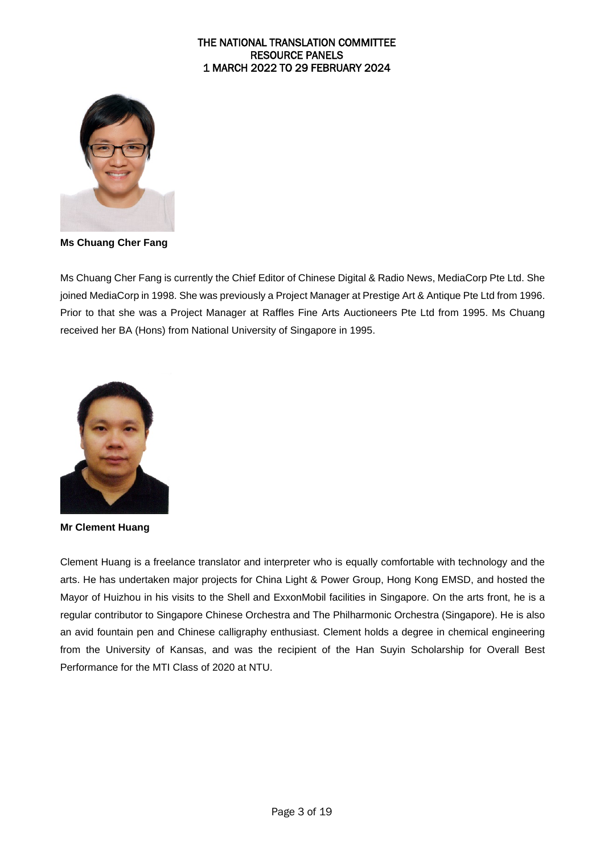

**Ms Chuang Cher Fang** 

Ms Chuang Cher Fang is currently the Chief Editor of Chinese Digital & Radio News, MediaCorp Pte Ltd. She joined MediaCorp in 1998. She was previously a Project Manager at Prestige Art & Antique Pte Ltd from 1996. Prior to that she was a Project Manager at Raffles Fine Arts Auctioneers Pte Ltd from 1995. Ms Chuang received her BA (Hons) from National University of Singapore in 1995.



**Mr Clement Huang**

Clement Huang is a freelance translator and interpreter who is equally comfortable with technology and the arts. He has undertaken major projects for China Light & Power Group, Hong Kong EMSD, and hosted the Mayor of Huizhou in his visits to the Shell and ExxonMobil facilities in Singapore. On the arts front, he is a regular contributor to Singapore Chinese Orchestra and The Philharmonic Orchestra (Singapore). He is also an avid fountain pen and Chinese calligraphy enthusiast. Clement holds a degree in chemical engineering from the University of Kansas, and was the recipient of the Han Suyin Scholarship for Overall Best Performance for the MTI Class of 2020 at NTU.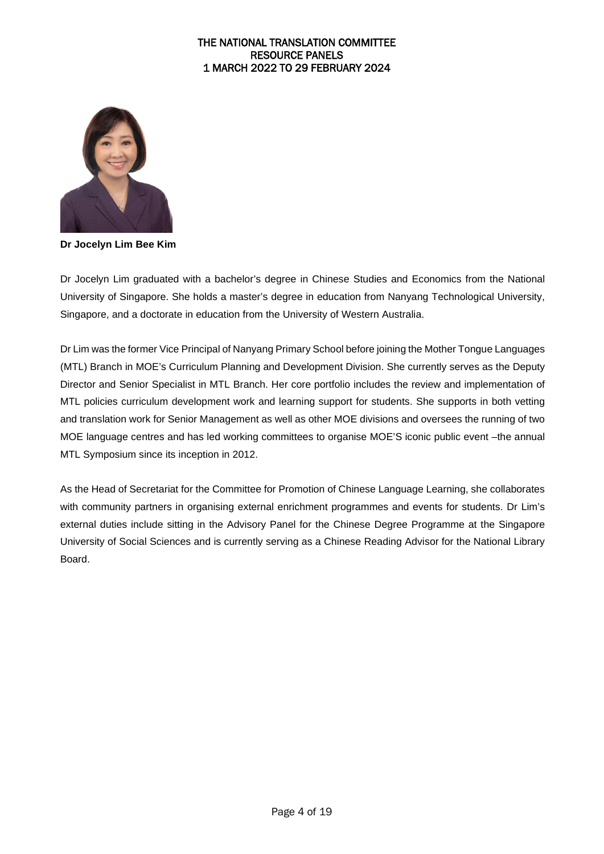

**Dr Jocelyn Lim Bee Kim** 

Dr Jocelyn Lim graduated with a bachelor's degree in Chinese Studies and Economics from the National University of Singapore. She holds a master's degree in education from Nanyang Technological University, Singapore, and a doctorate in education from the University of Western Australia.

Dr Lim was the former Vice Principal of Nanyang Primary School before joining the Mother Tongue Languages (MTL) Branch in MOE's Curriculum Planning and Development Division. She currently serves as the Deputy Director and Senior Specialist in MTL Branch. Her core portfolio includes the review and implementation of MTL policies curriculum development work and learning support for students. She supports in both vetting and translation work for Senior Management as well as other MOE divisions and oversees the running of two MOE language centres and has led working committees to organise MOE'S iconic public event –the annual MTL Symposium since its inception in 2012.

As the Head of Secretariat for the Committee for Promotion of Chinese Language Learning, she collaborates with community partners in organising external enrichment programmes and events for students. Dr Lim's external duties include sitting in the Advisory Panel for the Chinese Degree Programme at the Singapore University of Social Sciences and is currently serving as a Chinese Reading Advisor for the National Library Board.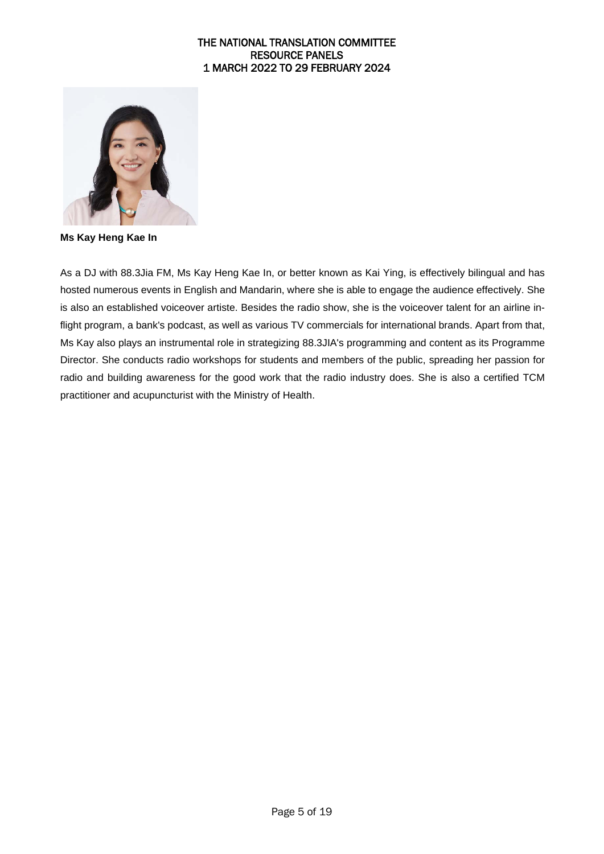

**Ms Kay Heng Kae In** 

As a DJ with 88.3Jia FM, Ms Kay Heng Kae In, or better known as Kai Ying, is effectively bilingual and has hosted numerous events in English and Mandarin, where she is able to engage the audience effectively. She is also an established voiceover artiste. Besides the radio show, she is the voiceover talent for an airline inflight program, a bank's podcast, as well as various TV commercials for international brands. Apart from that, Ms Kay also plays an instrumental role in strategizing 88.3JIA's programming and content as its Programme Director. She conducts radio workshops for students and members of the public, spreading her passion for radio and building awareness for the good work that the radio industry does. She is also a certified TCM practitioner and acupuncturist with the Ministry of Health.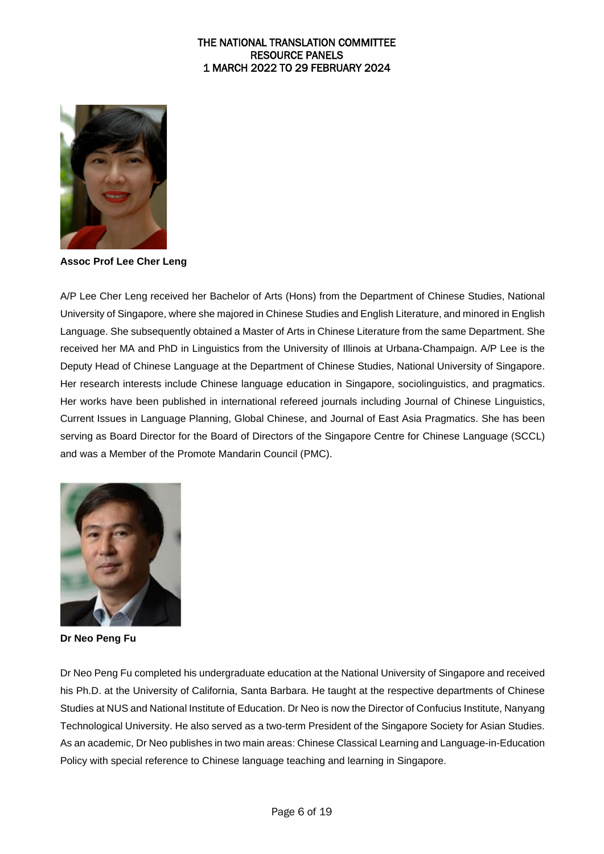

**Assoc Prof Lee Cher Leng** 

A/P Lee Cher Leng received her Bachelor of Arts (Hons) from the Department of Chinese Studies, National University of Singapore, where she majored in Chinese Studies and English Literature, and minored in English Language. She subsequently obtained a Master of Arts in Chinese Literature from the same Department. She received her MA and PhD in Linguistics from the University of Illinois at Urbana-Champaign. A/P Lee is the Deputy Head of Chinese Language at the Department of Chinese Studies, National University of Singapore. Her research interests include Chinese language education in Singapore, sociolinguistics, and pragmatics. Her works have been published in international refereed journals including Journal of Chinese Linguistics, Current Issues in Language Planning, Global Chinese, and Journal of East Asia Pragmatics. She has been serving as Board Director for the Board of Directors of the Singapore Centre for Chinese Language (SCCL) and was a Member of the Promote Mandarin Council (PMC).



**Dr Neo Peng Fu**

Dr Neo Peng Fu completed his undergraduate education at the National University of Singapore and received his Ph.D. at the University of California, Santa Barbara. He taught at the respective departments of Chinese Studies at NUS and National Institute of Education. Dr Neo is now the Director of Confucius Institute, Nanyang Technological University. He also served as a two-term President of the Singapore Society for Asian Studies. As an academic, Dr Neo publishes in two main areas: Chinese Classical Learning and Language-in-Education Policy with special reference to Chinese language teaching and learning in Singapore.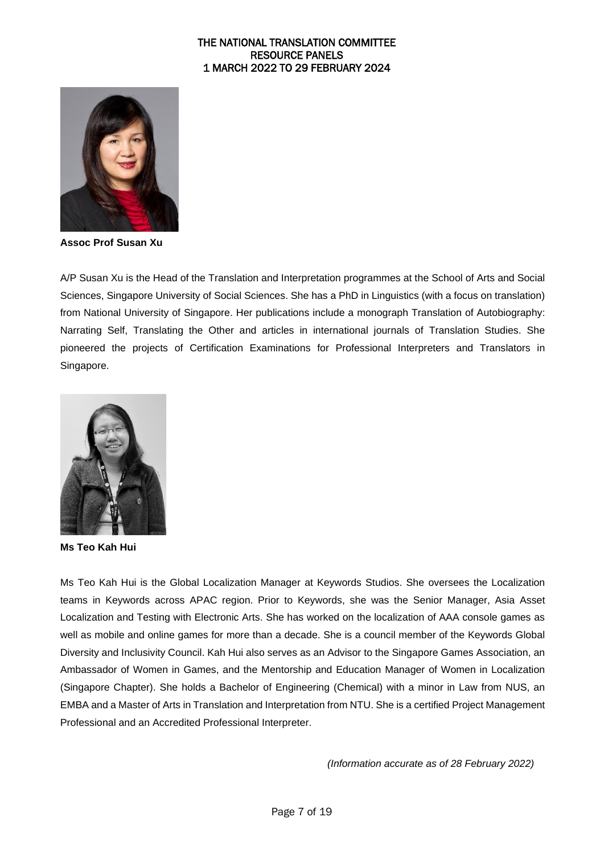

**Assoc Prof Susan Xu** 

A/P Susan Xu is the Head of the Translation and Interpretation programmes at the School of Arts and Social Sciences, Singapore University of Social Sciences. She has a PhD in Linguistics (with a focus on translation) from National University of Singapore. Her publications include a monograph Translation of Autobiography: Narrating Self, Translating the Other and articles in international journals of Translation Studies. She pioneered the projects of Certification Examinations for Professional Interpreters and Translators in Singapore.



**Ms Teo Kah Hui**

Ms Teo Kah Hui is the Global Localization Manager at Keywords Studios. She oversees the Localization teams in Keywords across APAC region. Prior to Keywords, she was the Senior Manager, Asia Asset Localization and Testing with Electronic Arts. She has worked on the localization of AAA console games as well as mobile and online games for more than a decade. She is a council member of the Keywords Global Diversity and Inclusivity Council. Kah Hui also serves as an Advisor to the Singapore Games Association, an Ambassador of Women in Games, and the Mentorship and Education Manager of Women in Localization (Singapore Chapter). She holds a Bachelor of Engineering (Chemical) with a minor in Law from NUS, an EMBA and a Master of Arts in Translation and Interpretation from NTU. She is a certified Project Management Professional and an Accredited Professional Interpreter.

*(Information accurate as of 28 February 2022)*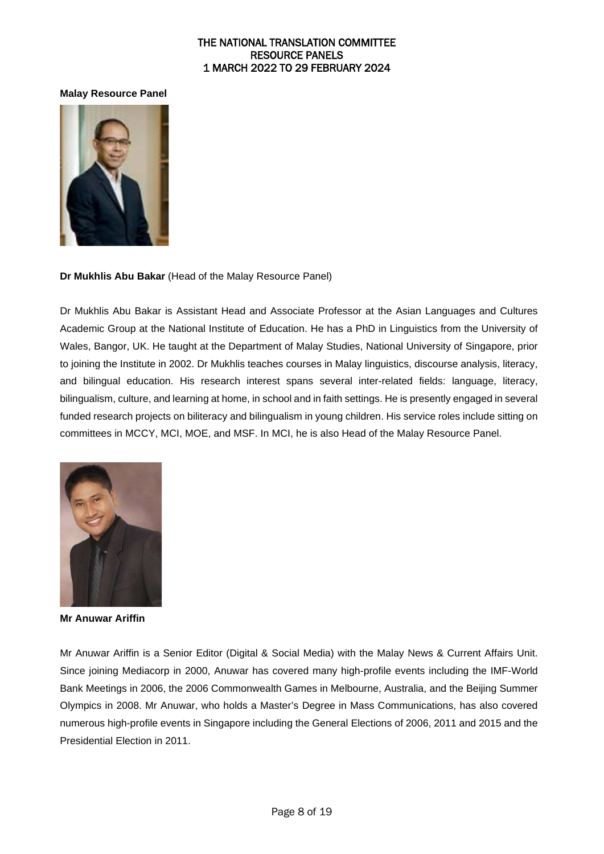#### **Malay Resource Panel**



**Dr Mukhlis Abu Bakar** (Head of the Malay Resource Panel)

Dr Mukhlis Abu Bakar is Assistant Head and Associate Professor at the Asian Languages and Cultures Academic Group at the National Institute of Education. He has a PhD in Linguistics from the University of Wales, Bangor, UK. He taught at the Department of Malay Studies, National University of Singapore, prior to joining the Institute in 2002. Dr Mukhlis teaches courses in Malay linguistics, discourse analysis, literacy, and bilingual education. His research interest spans several inter-related fields: language, literacy, bilingualism, culture, and learning at home, in school and in faith settings. He is presently engaged in several funded research projects on biliteracy and bilingualism in young children. His service roles include sitting on committees in MCCY, MCI, MOE, and MSF. In MCI, he is also Head of the Malay Resource Panel.



**Mr Anuwar Ariffin** 

Mr Anuwar Ariffin is a Senior Editor (Digital & Social Media) with the Malay News & Current Affairs Unit. Since joining Mediacorp in 2000, Anuwar has covered many high-profile events including the IMF-World Bank Meetings in 2006, the 2006 Commonwealth Games in Melbourne, Australia, and the Beijing Summer Olympics in 2008. Mr Anuwar, who holds a Master's Degree in Mass Communications, has also covered numerous high-profile events in Singapore including the General Elections of 2006, 2011 and 2015 and the Presidential Election in 2011.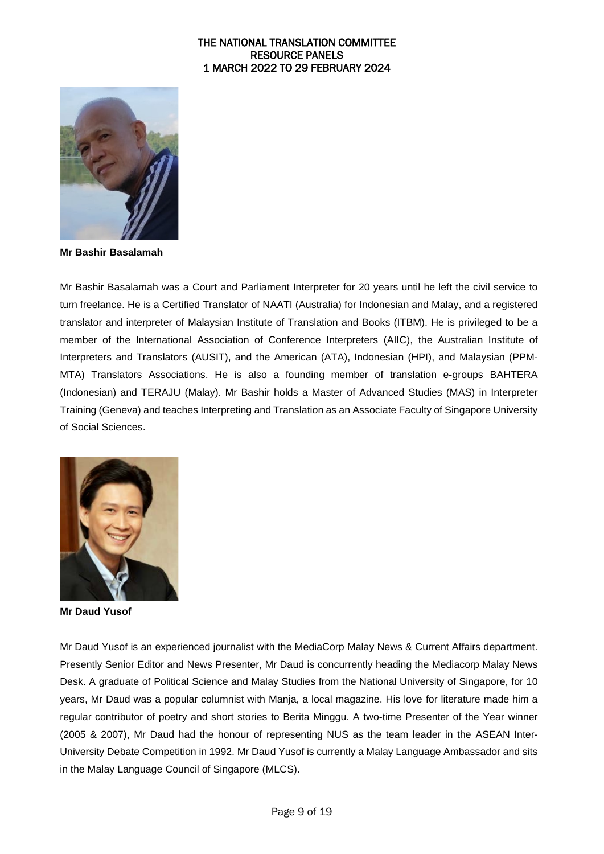

**Mr Bashir Basalamah**

Mr Bashir Basalamah was a Court and Parliament Interpreter for 20 years until he left the civil service to turn freelance. He is a Certified Translator of NAATI (Australia) for Indonesian and Malay, and a registered translator and interpreter of Malaysian Institute of Translation and Books (ITBM). He is privileged to be a member of the International Association of Conference Interpreters (AIIC), the Australian Institute of Interpreters and Translators (AUSIT), and the American (ATA), Indonesian (HPI), and Malaysian (PPM-MTA) Translators Associations. He is also a founding member of translation e-groups BAHTERA (Indonesian) and TERAJU (Malay). Mr Bashir holds a Master of Advanced Studies (MAS) in Interpreter Training (Geneva) and teaches Interpreting and Translation as an Associate Faculty of Singapore University of Social Sciences.



**Mr Daud Yusof** 

Mr Daud Yusof is an experienced journalist with the MediaCorp Malay News & Current Affairs department. Presently Senior Editor and News Presenter, Mr Daud is concurrently heading the Mediacorp Malay News Desk. A graduate of Political Science and Malay Studies from the National University of Singapore, for 10 years, Mr Daud was a popular columnist with Manja, a local magazine. His love for literature made him a regular contributor of poetry and short stories to Berita Minggu. A two-time Presenter of the Year winner (2005 & 2007), Mr Daud had the honour of representing NUS as the team leader in the ASEAN Inter-University Debate Competition in 1992. Mr Daud Yusof is currently a Malay Language Ambassador and sits in the Malay Language Council of Singapore (MLCS).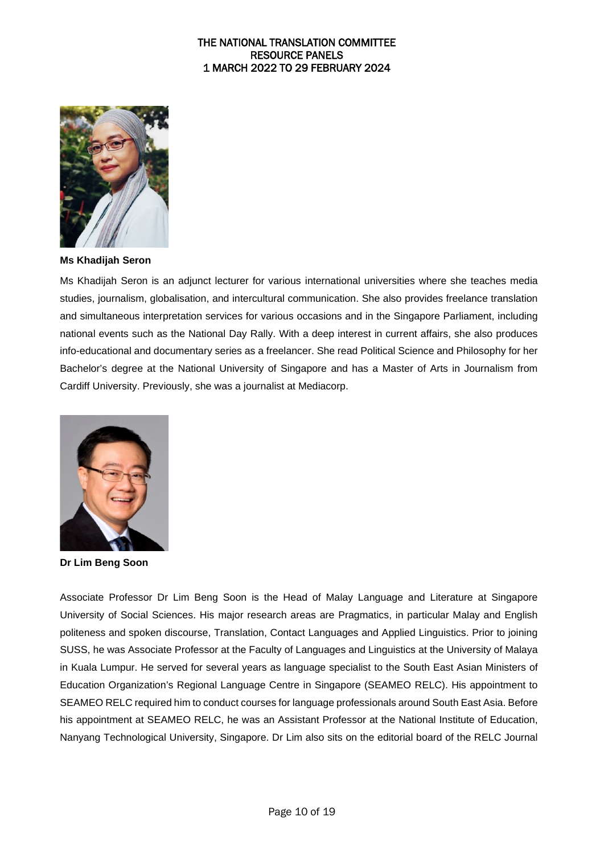

**Ms Khadijah Seron** 

Ms Khadijah Seron is an adjunct lecturer for various international universities where she teaches media studies, journalism, globalisation, and intercultural communication. She also provides freelance translation and simultaneous interpretation services for various occasions and in the Singapore Parliament, including national events such as the National Day Rally. With a deep interest in current affairs, she also produces info-educational and documentary series as a freelancer. She read Political Science and Philosophy for her Bachelor's degree at the National University of Singapore and has a Master of Arts in Journalism from Cardiff University. Previously, she was a journalist at Mediacorp.



**Dr Lim Beng Soon**

Associate Professor Dr Lim Beng Soon is the Head of Malay Language and Literature at Singapore University of Social Sciences. His major research areas are Pragmatics, in particular Malay and English politeness and spoken discourse, Translation, Contact Languages and Applied Linguistics. Prior to joining SUSS, he was Associate Professor at the Faculty of Languages and Linguistics at the University of Malaya in Kuala Lumpur. He served for several years as language specialist to the South East Asian Ministers of Education Organization's Regional Language Centre in Singapore (SEAMEO RELC). His appointment to SEAMEO RELC required him to conduct courses for language professionals around South East Asia. Before his appointment at SEAMEO RELC, he was an Assistant Professor at the National Institute of Education, Nanyang Technological University, Singapore. Dr Lim also sits on the editorial board of the RELC Journal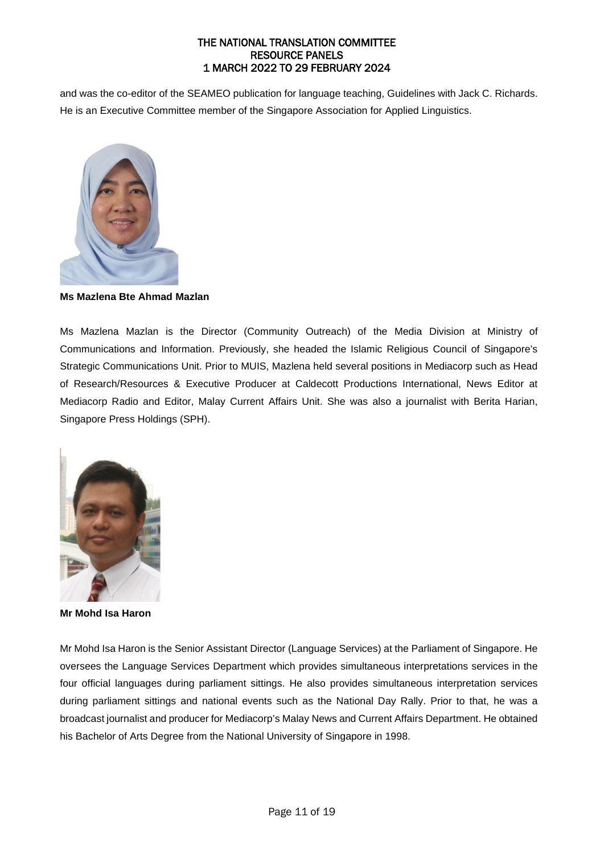and was the co-editor of the SEAMEO publication for language teaching, Guidelines with Jack C. Richards. He is an Executive Committee member of the Singapore Association for Applied Linguistics.



**Ms Mazlena Bte Ahmad Mazlan**

Ms Mazlena Mazlan is the Director (Community Outreach) of the Media Division at Ministry of Communications and Information. Previously, she headed the Islamic Religious Council of Singapore's Strategic Communications Unit. Prior to MUIS, Mazlena held several positions in Mediacorp such as Head of Research/Resources & Executive Producer at Caldecott Productions International, News Editor at Mediacorp Radio and Editor, Malay Current Affairs Unit. She was also a journalist with Berita Harian, Singapore Press Holdings (SPH).



**Mr Mohd Isa Haron** 

Mr Mohd Isa Haron is the Senior Assistant Director (Language Services) at the Parliament of Singapore. He oversees the Language Services Department which provides simultaneous interpretations services in the four official languages during parliament sittings. He also provides simultaneous interpretation services during parliament sittings and national events such as the National Day Rally. Prior to that, he was a broadcast journalist and producer for Mediacorp's Malay News and Current Affairs Department. He obtained his Bachelor of Arts Degree from the National University of Singapore in 1998.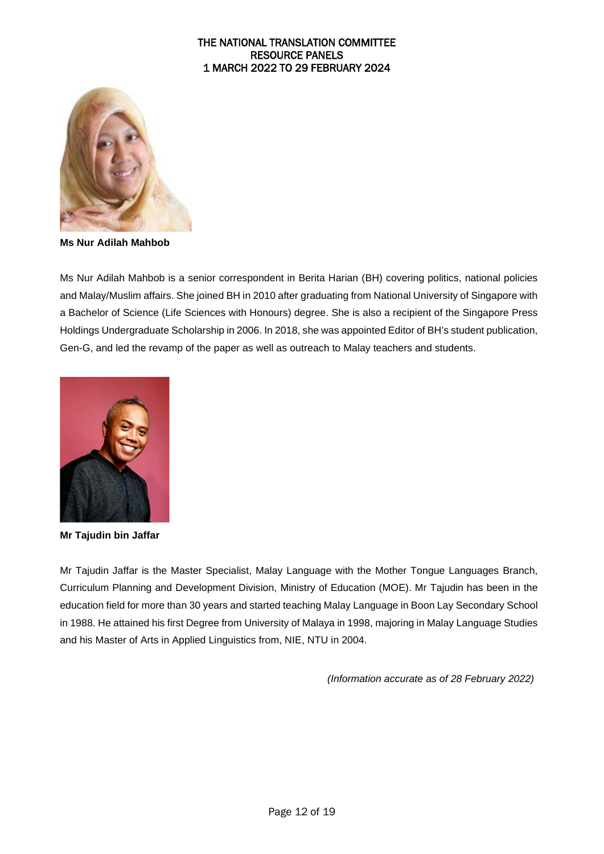

**Ms Nur Adilah Mahbob**

Ms Nur Adilah Mahbob is a senior correspondent in Berita Harian (BH) covering politics, national policies and Malay/Muslim affairs. She joined BH in 2010 after graduating from National University of Singapore with a Bachelor of Science (Life Sciences with Honours) degree. She is also a recipient of the Singapore Press Holdings Undergraduate Scholarship in 2006. In 2018, she was appointed Editor of BH's student publication, Gen-G, and led the revamp of the paper as well as outreach to Malay teachers and students.



**Mr Tajudin bin Jaffar** 

Mr Tajudin Jaffar is the Master Specialist, Malay Language with the Mother Tongue Languages Branch, Curriculum Planning and Development Division, Ministry of Education (MOE). Mr Tajudin has been in the education field for more than 30 years and started teaching Malay Language in Boon Lay Secondary School in 1988. He attained his first Degree from University of Malaya in 1998, majoring in Malay Language Studies and his Master of Arts in Applied Linguistics from, NIE, NTU in 2004.

*(Information accurate as of 28 February 2022)*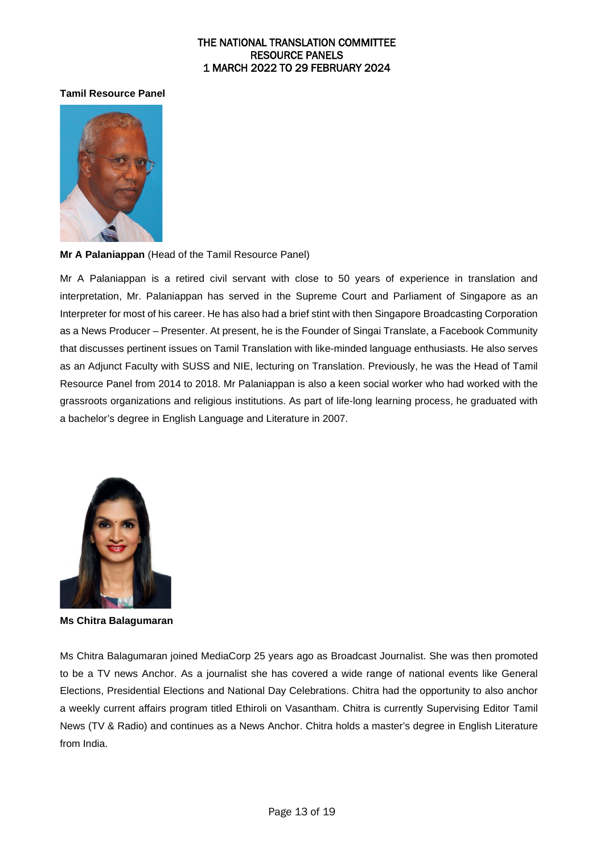#### **Tamil Resource Panel**



#### **Mr A Palaniappan** (Head of the Tamil Resource Panel)

Mr A Palaniappan is a retired civil servant with close to 50 years of experience in translation and interpretation, Mr. Palaniappan has served in the Supreme Court and Parliament of Singapore as an Interpreter for most of his career. He has also had a brief stint with then Singapore Broadcasting Corporation as a News Producer – Presenter. At present, he is the Founder of Singai Translate, a Facebook Community that discusses pertinent issues on Tamil Translation with like-minded language enthusiasts. He also serves as an Adjunct Faculty with SUSS and NIE, lecturing on Translation. Previously, he was the Head of Tamil Resource Panel from 2014 to 2018. Mr Palaniappan is also a keen social worker who had worked with the grassroots organizations and religious institutions. As part of life-long learning process, he graduated with a bachelor's degree in English Language and Literature in 2007.



**Ms Chitra Balagumaran** 

Ms Chitra Balagumaran joined MediaCorp 25 years ago as Broadcast Journalist. She was then promoted to be a TV news Anchor. As a journalist she has covered a wide range of national events like General Elections, Presidential Elections and National Day Celebrations. Chitra had the opportunity to also anchor a weekly current affairs program titled Ethiroli on Vasantham. Chitra is currently Supervising Editor Tamil News (TV & Radio) and continues as a News Anchor. Chitra holds a master's degree in English Literature from India.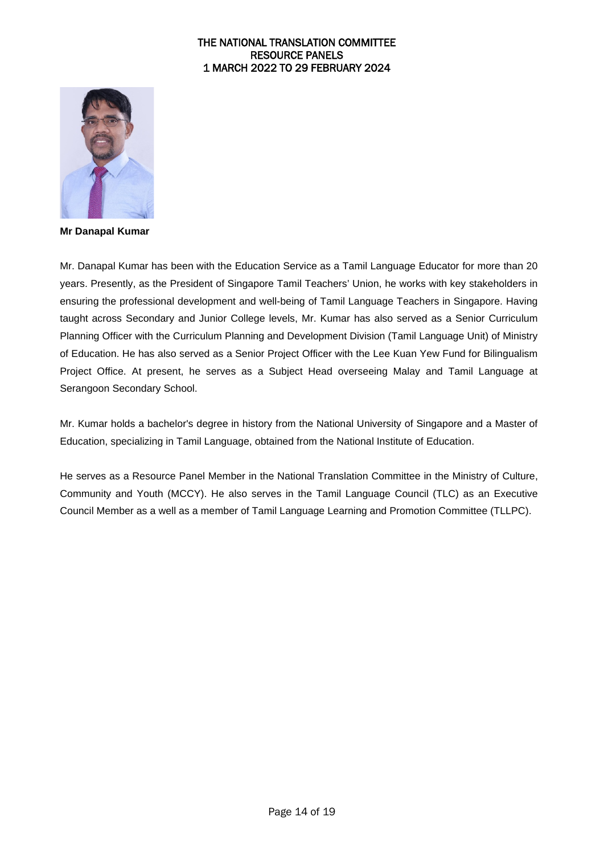

**Mr Danapal Kumar** 

Mr. Danapal Kumar has been with the Education Service as a Tamil Language Educator for more than 20 years. Presently, as the President of Singapore Tamil Teachers' Union, he works with key stakeholders in ensuring the professional development and well-being of Tamil Language Teachers in Singapore. Having taught across Secondary and Junior College levels, Mr. Kumar has also served as a Senior Curriculum Planning Officer with the Curriculum Planning and Development Division (Tamil Language Unit) of Ministry of Education. He has also served as a Senior Project Officer with the Lee Kuan Yew Fund for Bilingualism Project Office. At present, he serves as a Subject Head overseeing Malay and Tamil Language at Serangoon Secondary School.

Mr. Kumar holds a bachelor's degree in history from the National University of Singapore and a Master of Education, specializing in Tamil Language, obtained from the National Institute of Education.

He serves as a Resource Panel Member in the National Translation Committee in the Ministry of Culture, Community and Youth (MCCY). He also serves in the Tamil Language Council (TLC) as an Executive Council Member as a well as a member of Tamil Language Learning and Promotion Committee (TLLPC).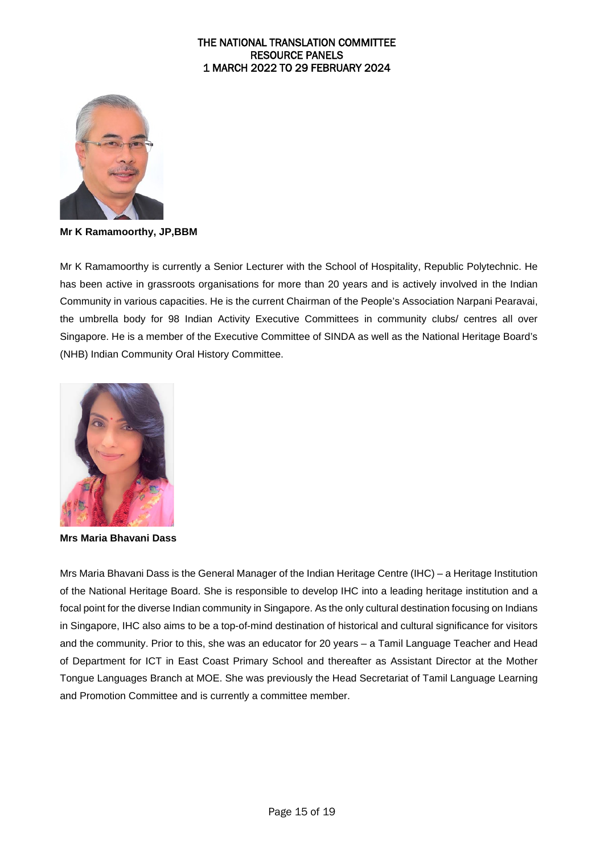

**Mr K Ramamoorthy, JP,BBM**

Mr K Ramamoorthy is currently a Senior Lecturer with the School of Hospitality, Republic Polytechnic. He has been active in grassroots organisations for more than 20 years and is actively involved in the Indian Community in various capacities. He is the current Chairman of the People's Association Narpani Pearavai, the umbrella body for 98 Indian Activity Executive Committees in community clubs/ centres all over Singapore. He is a member of the Executive Committee of SINDA as well as the National Heritage Board's (NHB) Indian Community Oral History Committee.



**Mrs Maria Bhavani Dass** 

Mrs Maria Bhavani Dass is the General Manager of the Indian Heritage Centre (IHC) – a Heritage Institution of the National Heritage Board. She is responsible to develop IHC into a leading heritage institution and a focal point for the diverse Indian community in Singapore. As the only cultural destination focusing on Indians in Singapore, IHC also aims to be a top-of-mind destination of historical and cultural significance for visitors and the community. Prior to this, she was an educator for 20 years – a Tamil Language Teacher and Head of Department for ICT in East Coast Primary School and thereafter as Assistant Director at the Mother Tongue Languages Branch at MOE. She was previously the Head Secretariat of Tamil Language Learning and Promotion Committee and is currently a committee member.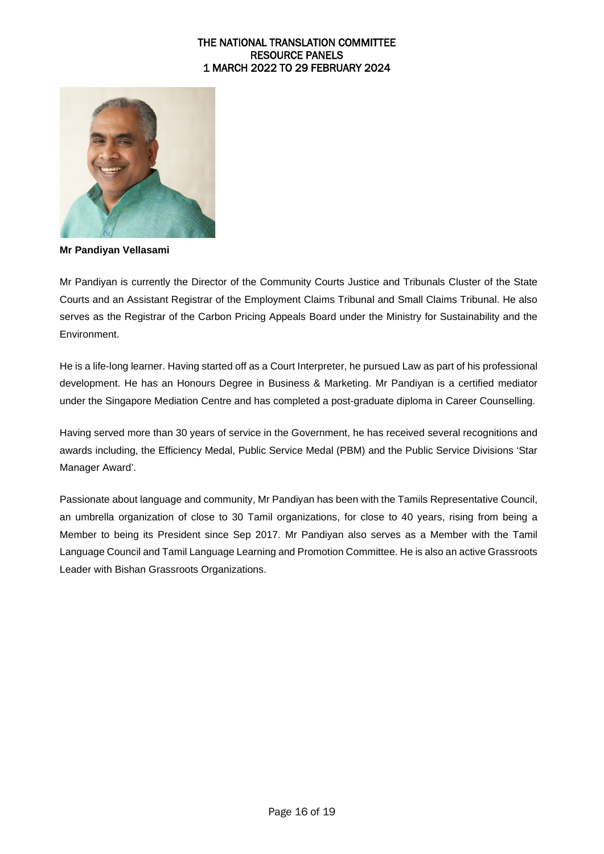

**Mr Pandiyan Vellasami** 

Mr Pandiyan is currently the Director of the Community Courts Justice and Tribunals Cluster of the State Courts and an Assistant Registrar of the Employment Claims Tribunal and Small Claims Tribunal. He also serves as the Registrar of the Carbon Pricing Appeals Board under the Ministry for Sustainability and the Environment.

He is a life-long learner. Having started off as a Court Interpreter, he pursued Law as part of his professional development. He has an Honours Degree in Business & Marketing. Mr Pandiyan is a certified mediator under the Singapore Mediation Centre and has completed a post-graduate diploma in Career Counselling.

Having served more than 30 years of service in the Government, he has received several recognitions and awards including, the Efficiency Medal, Public Service Medal (PBM) and the Public Service Divisions 'Star Manager Award'.

Passionate about language and community, Mr Pandiyan has been with the Tamils Representative Council, an umbrella organization of close to 30 Tamil organizations, for close to 40 years, rising from being a Member to being its President since Sep 2017. Mr Pandiyan also serves as a Member with the Tamil Language Council and Tamil Language Learning and Promotion Committee. He is also an active Grassroots Leader with Bishan Grassroots Organizations.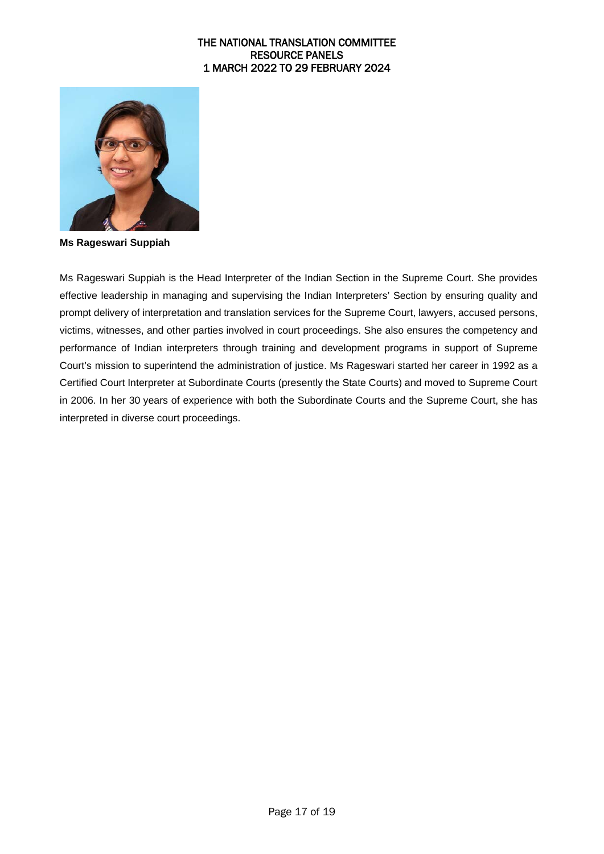

**Ms Rageswari Suppiah**

Ms Rageswari Suppiah is the Head Interpreter of the Indian Section in the Supreme Court. She provides effective leadership in managing and supervising the Indian Interpreters' Section by ensuring quality and prompt delivery of interpretation and translation services for the Supreme Court, lawyers, accused persons, victims, witnesses, and other parties involved in court proceedings. She also ensures the competency and performance of Indian interpreters through training and development programs in support of Supreme Court's mission to superintend the administration of justice. Ms Rageswari started her career in 1992 as a Certified Court Interpreter at Subordinate Courts (presently the State Courts) and moved to Supreme Court in 2006. In her 30 years of experience with both the Subordinate Courts and the Supreme Court, she has interpreted in diverse court proceedings.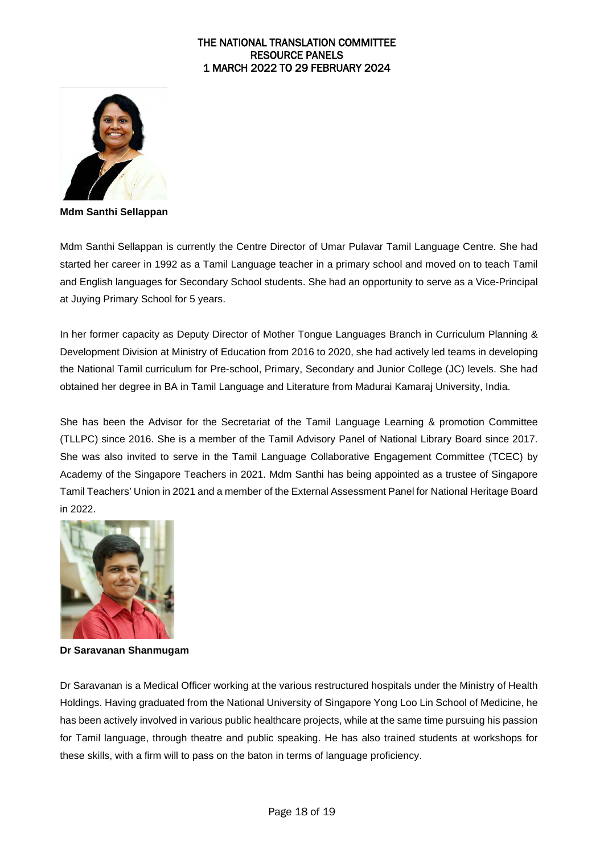

**Mdm Santhi Sellappan**

Mdm Santhi Sellappan is currently the Centre Director of Umar Pulavar Tamil Language Centre. She had started her career in 1992 as a Tamil Language teacher in a primary school and moved on to teach Tamil and English languages for Secondary School students. She had an opportunity to serve as a Vice-Principal at Juying Primary School for 5 years.

In her former capacity as Deputy Director of Mother Tongue Languages Branch in Curriculum Planning & Development Division at Ministry of Education from 2016 to 2020, she had actively led teams in developing the National Tamil curriculum for Pre-school, Primary, Secondary and Junior College (JC) levels. She had obtained her degree in BA in Tamil Language and Literature from Madurai Kamaraj University, India.

She has been the Advisor for the Secretariat of the Tamil Language Learning & promotion Committee (TLLPC) since 2016. She is a member of the Tamil Advisory Panel of National Library Board since 2017. She was also invited to serve in the Tamil Language Collaborative Engagement Committee (TCEC) by Academy of the Singapore Teachers in 2021. Mdm Santhi has being appointed as a trustee of Singapore Tamil Teachers' Union in 2021 and a member of the External Assessment Panel for National Heritage Board in 2022.



**Dr Saravanan Shanmugam**

Dr Saravanan is a Medical Officer working at the various restructured hospitals under the Ministry of Health Holdings. Having graduated from the National University of Singapore Yong Loo Lin School of Medicine, he has been actively involved in various public healthcare projects, while at the same time pursuing his passion for Tamil language, through theatre and public speaking. He has also trained students at workshops for these skills, with a firm will to pass on the baton in terms of language proficiency.